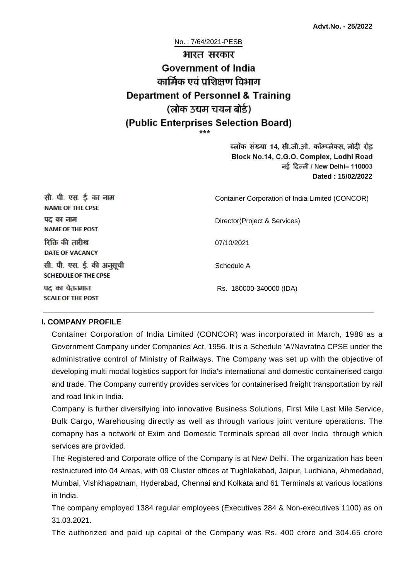No. : 7/64/2021-PESB

# भारत सरकार **Government of India** कार्मिक एवं पशिक्षण विभाग **Department of Personnel & Training** (लोक उद्यम चयन बोर्ड) (Public Enterprises Selection Board)

ब्लॉक संख्या 14, सी.जी.ओ. कॉम्प्लेक्स, लोदी रोड Block No.14, C.G.O. Complex, Lodhi Road ਰई दिल्ली / New Delhi– 110003 **Dated : 15/02/2022**

| सी. पी. एस. ई. का नाम<br><b>NAME OF THE CPSE</b>         | Container Corporation of India Limited (CONCOR) |
|----------------------------------------------------------|-------------------------------------------------|
| पद का नाम<br><b>NAME OF THE POST</b>                     | Director(Project & Services)                    |
| रिक्ति की तारीख<br><b>DATE OF VACANCY</b>                | 07/10/2021                                      |
| सी. पी. एस. ई. की अनुसूची<br><b>SCHEDULE OF THE CPSE</b> | Schedule A                                      |
| पद का वेतनमान<br><b>SCALE OF THE POST</b>                | Rs. 180000-340000 (IDA)                         |

#### **I. COMPANY PROFILE**

Container Corporation of India Limited (CONCOR) was incorporated in March, 1988 as a Government Company under Companies Act, 1956. It is a Schedule 'A'/Navratna CPSE under the administrative control of Ministry of Railways. The Company was set up with the objective of developing multi modal logistics support for India's international and domestic containerised cargo and trade. The Company currently provides services for containerised freight transportation by rail and road link in India.

Company is further diversifying into innovative Business Solutions, First Mile Last Mile Service, Bulk Cargo, Warehousing directly as well as through various joint venture operations. The comapny has a network of Exim and Domestic Terminals spread all over India through which services are provided.

The Registered and Corporate office of the Company is at New Delhi. The organization has been restructured into 04 Areas, with 09 Cluster offices at Tughlakabad, Jaipur, Ludhiana, Ahmedabad, Mumbai, Vishkhapatnam, Hyderabad, Chennai and Kolkata and 61 Terminals at various locations in India.

The company employed 1384 regular employees (Executives 284 & Non-executives 1100) as on 31.03.2021.

The authorized and paid up capital of the Company was Rs. 400 crore and 304.65 crore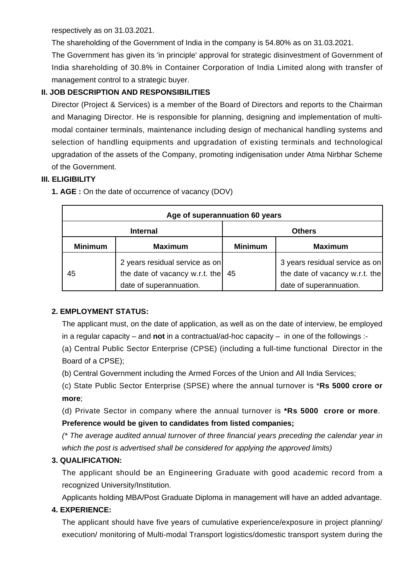respectively as on 31.03.2021.

The shareholding of the Government of India in the company is 54.80% as on 31.03.2021.

The Government has given its 'in principle' approval for strategic disinvestment of Government of India shareholding of 30.8% in Container Corporation of India Limited along with transfer of management control to a strategic buyer.

## **II. JOB DESCRIPTION AND RESPONSIBILITIES**

Director (Project & Services) is a member of the Board of Directors and reports to the Chairman and Managing Director. He is responsible for planning, designing and implementation of multimodal container terminals, maintenance including design of mechanical handling systems and selection of handling equipments and upgradation of existing terminals and technological upgradation of the assets of the Company, promoting indigenisation under Atma Nirbhar Scheme of the Government.

#### **III. ELIGIBILITY**

| Age of superannuation 60 years |                                                                                             |                |                                                                                             |  |
|--------------------------------|---------------------------------------------------------------------------------------------|----------------|---------------------------------------------------------------------------------------------|--|
| <b>Internal</b>                |                                                                                             | <b>Others</b>  |                                                                                             |  |
| <b>Minimum</b>                 | <b>Maximum</b>                                                                              | <b>Minimum</b> | <b>Maximum</b>                                                                              |  |
| 45                             | 2 years residual service as on<br>the date of vacancy w.r.t. the<br>date of superannuation. | 45             | 3 years residual service as on<br>the date of vacancy w.r.t. the<br>date of superannuation. |  |

**1. AGE :** On the date of occurrence of vacancy (DOV)

#### **2. EMPLOYMENT STATUS:**

The applicant must, on the date of application, as well as on the date of interview, be employed in a regular capacity – and **not** in a contractual/ad-hoc capacity – in one of the followings :-

(a) Central Public Sector Enterprise (CPSE) (including a full-time functional Director in the Board of a CPSE);

(b) Central Government including the Armed Forces of the Union and All India Services;

(c) State Public Sector Enterprise (SPSE) where the annual turnover is \***Rs 5000 crore or more**;

(d) Private Sector in company where the annual turnover is **\*Rs 5000 crore or more**. **Preference would be given to candidates from listed companies;**

(\* The average audited annual turnover of three financial years preceding the calendar year in which the post is advertised shall be considered for applying the approved limits)

#### **3. QUALIFICATION:**

The applicant should be an Engineering Graduate with good academic record from a recognized University/Institution.

Applicants holding MBA/Post Graduate Diploma in management will have an added advantage.

#### **4. EXPERIENCE:**

The applicant should have five years of cumulative experience/exposure in project planning/ execution/ monitoring of Multi-modal Transport logistics/domestic transport system during the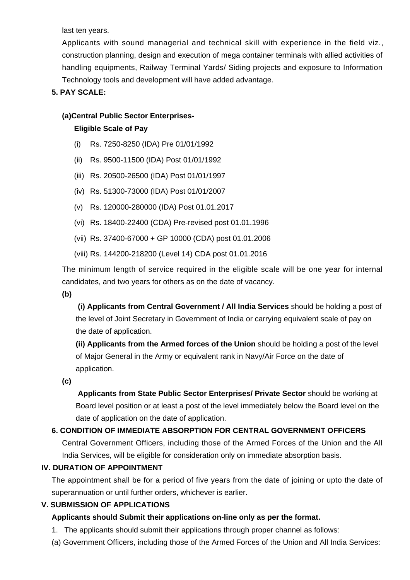last ten years.

Applicants with sound managerial and technical skill with experience in the field viz., construction planning, design and execution of mega container terminals with allied activities of handling equipments, Railway Terminal Yards/ Siding projects and exposure to Information Technology tools and development will have added advantage.

#### **5. PAY SCALE:**

#### **(a)Central Public Sector Enterprises-**

#### **Eligible Scale of Pay**

- (i) Rs. 7250-8250 (IDA) Pre 01/01/1992
- (ii) Rs. 9500-11500 (IDA) Post 01/01/1992
- (iii) Rs. 20500-26500 (IDA) Post 01/01/1997
- (iv) Rs. 51300-73000 (IDA) Post 01/01/2007
- (v) Rs. 120000-280000 (IDA) Post 01.01.2017
- (vi) Rs. 18400-22400 (CDA) Pre-revised post 01.01.1996
- (vii) Rs. 37400-67000 + GP 10000 (CDA) post 01.01.2006
- (viii) Rs. 144200-218200 (Level 14) CDA post 01.01.2016

The minimum length of service required in the eligible scale will be one year for internal candidates, and two years for others as on the date of vacancy.

**(b)**

**(i) Applicants from Central Government / All India Services** should be holding a post of the level of Joint Secretary in Government of India or carrying equivalent scale of pay on the date of application.

**(ii) Applicants from the Armed forces of the Union** should be holding a post of the level of Major General in the Army or equivalent rank in Navy/Air Force on the date of application.

**(c)**

 **Applicants from State Public Sector Enterprises/ Private Sector** should be working at Board level position or at least a post of the level immediately below the Board level on the date of application on the date of application.

#### **6. CONDITION OF IMMEDIATE ABSORPTION FOR CENTRAL GOVERNMENT OFFICERS**

Central Government Officers, including those of the Armed Forces of the Union and the All India Services, will be eligible for consideration only on immediate absorption basis.

#### **IV. DURATION OF APPOINTMENT**

The appointment shall be for a period of five years from the date of joining or upto the date of superannuation or until further orders, whichever is earlier.

#### **V. SUBMISSION OF APPLICATIONS**

#### **Applicants should Submit their applications on-line only as per the format.**

- 1. The applicants should submit their applications through proper channel as follows:
- (a) Government Officers, including those of the Armed Forces of the Union and All India Services: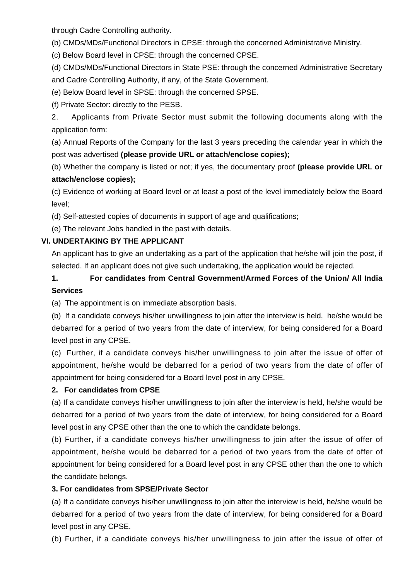through Cadre Controlling authority.

(b) CMDs/MDs/Functional Directors in CPSE: through the concerned Administrative Ministry.

(c) Below Board level in CPSE: through the concerned CPSE.

(d) CMDs/MDs/Functional Directors in State PSE: through the concerned Administrative Secretary and Cadre Controlling Authority, if any, of the State Government.

(e) Below Board level in SPSE: through the concerned SPSE.

(f) Private Sector: directly to the PESB.

2. Applicants from Private Sector must submit the following documents along with the application form:

(a) Annual Reports of the Company for the last 3 years preceding the calendar year in which the post was advertised **(please provide URL or attach/enclose copies);**

(b) Whether the company is listed or not; if yes, the documentary proof **(please provide URL or attach/enclose copies);**

(c) Evidence of working at Board level or at least a post of the level immediately below the Board level;

(d) Self-attested copies of documents in support of age and qualifications;

(e) The relevant Jobs handled in the past with details.

# **VI. UNDERTAKING BY THE APPLICANT**

An applicant has to give an undertaking as a part of the application that he/she will join the post, if selected. If an applicant does not give such undertaking, the application would be rejected.

# **1. For candidates from Central Government/Armed Forces of the Union/ All India Services**

(a) The appointment is on immediate absorption basis.

(b) If a candidate conveys his/her unwillingness to join after the interview is held, he/she would be debarred for a period of two years from the date of interview, for being considered for a Board level post in any CPSE.

(c) Further, if a candidate conveys his/her unwillingness to join after the issue of offer of appointment, he/she would be debarred for a period of two years from the date of offer of appointment for being considered for a Board level post in any CPSE.

#### **2. For candidates from CPSE**

(a) If a candidate conveys his/her unwillingness to join after the interview is held, he/she would be debarred for a period of two years from the date of interview, for being considered for a Board level post in any CPSE other than the one to which the candidate belongs.

(b) Further, if a candidate conveys his/her unwillingness to join after the issue of offer of appointment, he/she would be debarred for a period of two years from the date of offer of appointment for being considered for a Board level post in any CPSE other than the one to which the candidate belongs.

#### **3. For candidates from SPSE/Private Sector**

(a) If a candidate conveys his/her unwillingness to join after the interview is held, he/she would be debarred for a period of two years from the date of interview, for being considered for a Board level post in any CPSE.

(b) Further, if a candidate conveys his/her unwillingness to join after the issue of offer of